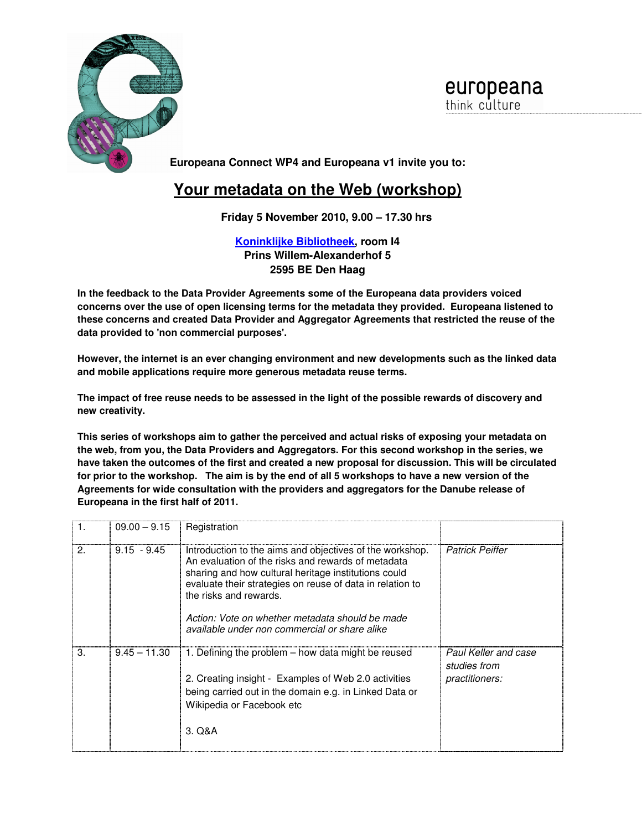

europeana think culture

**Europeana Connect WP4 and Europeana v1 invite you to:** 

## **Your metadata on the Web (workshop)**

**Friday 5 November 2010, 9.00 – 17.30 hrs** 

**Koninklijke Bibliotheek, room I4 Prins Willem-Alexanderhof 5 2595 BE Den Haag** 

**In the feedback to the Data Provider Agreements some of the Europeana data providers voiced concerns over the use of open licensing terms for the metadata they provided. Europeana listened to these concerns and created Data Provider and Aggregator Agreements that restricted the reuse of the data provided to 'non commercial purposes'.** 

**However, the internet is an ever changing environment and new developments such as the linked data and mobile applications require more generous metadata reuse terms.** 

**The impact of free reuse needs to be assessed in the light of the possible rewards of discovery and new creativity.** 

**This series of workshops aim to gather the perceived and actual risks of exposing your metadata on the web, from you, the Data Providers and Aggregators. For this second workshop in the series, we have taken the outcomes of the first and created a new proposal for discussion. This will be circulated for prior to the workshop. The aim is by the end of all 5 workshops to have a new version of the Agreements for wide consultation with the providers and aggregators for the Danube release of Europeana in the first half of 2011.**

|              | $09.00 - 9.15$ | Registration                                                                                                                                                                                                                                                                                                                                                      |                                                        |
|--------------|----------------|-------------------------------------------------------------------------------------------------------------------------------------------------------------------------------------------------------------------------------------------------------------------------------------------------------------------------------------------------------------------|--------------------------------------------------------|
| $\mathbf{2}$ | $9.15 - 9.45$  | Introduction to the aims and objectives of the workshop.<br>An evaluation of the risks and rewards of metadata<br>sharing and how cultural heritage institutions could<br>evaluate their strategies on reuse of data in relation to<br>the risks and rewards.<br>Action: Vote on whether metadata should be made<br>available under non commercial or share alike | <b>Patrick Peiffer</b>                                 |
| 3.           | $9.45 - 11.30$ | 1. Defining the problem – how data might be reused<br>2. Creating insight - Examples of Web 2.0 activities<br>being carried out in the domain e.g. in Linked Data or<br>Wikipedia or Facebook etc<br>3. Q&A                                                                                                                                                       | Paul Keller and case<br>studies from<br>practitioners: |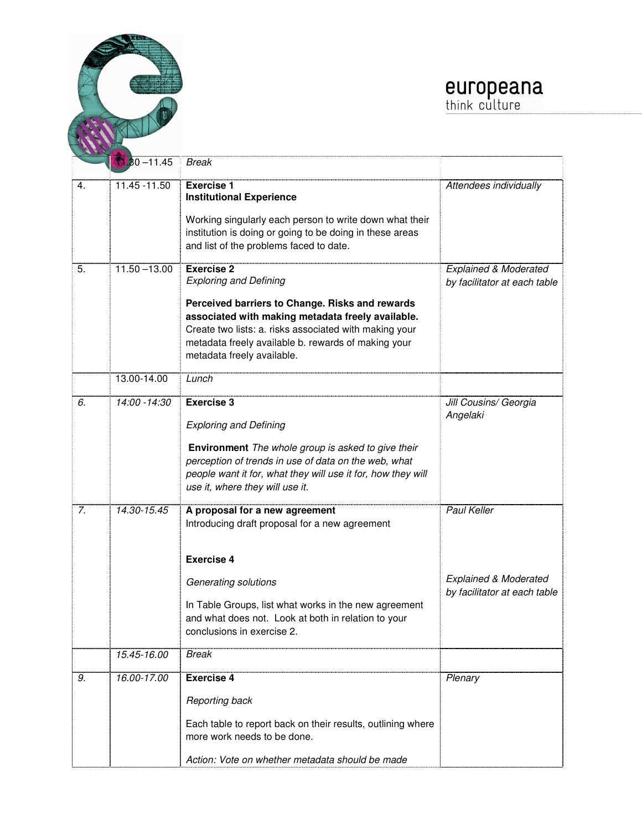

J



|    | $1.30 - 11.45$  | <b>Break</b>                                                                                                                                                                                                                                                                                              |                                                                                 |
|----|-----------------|-----------------------------------------------------------------------------------------------------------------------------------------------------------------------------------------------------------------------------------------------------------------------------------------------------------|---------------------------------------------------------------------------------|
|    |                 |                                                                                                                                                                                                                                                                                                           |                                                                                 |
| 4. | 11.45 - 11.50   | <b>Exercise 1</b><br><b>Institutional Experience</b><br>Working singularly each person to write down what their<br>institution is doing or going to be doing in these areas<br>and list of the problems faced to date.                                                                                    | Attendees individually                                                          |
| 5. | $11.50 - 13.00$ | <b>Exercise 2</b><br><b>Exploring and Defining</b><br>Perceived barriers to Change. Risks and rewards<br>associated with making metadata freely available.<br>Create two lists: a. risks associated with making your<br>metadata freely available b. rewards of making your<br>metadata freely available. | <b>Explained &amp; Moderated</b><br>by facilitator at each table                |
|    | 13.00-14.00     | Lunch                                                                                                                                                                                                                                                                                                     |                                                                                 |
| 6. | 14:00 - 14:30   | <b>Exercise 3</b><br><b>Exploring and Defining</b><br>Environment The whole group is asked to give their<br>perception of trends in use of data on the web, what<br>people want it for, what they will use it for, how they will<br>use it, where they will use it.                                       | Jill Cousins/ Georgia<br>Angelaki                                               |
| 7. | 14.30-15.45     | A proposal for a new agreement<br>Introducing draft proposal for a new agreement<br><b>Exercise 4</b><br>Generating solutions<br>In Table Groups, list what works in the new agreement<br>and what does not. Look at both in relation to your<br>conclusions in exercise 2.                               | Paul Keller<br><b>Explained &amp; Moderated</b><br>by facilitator at each table |
|    | 15.45-16.00     | Break                                                                                                                                                                                                                                                                                                     |                                                                                 |
| 9. | 16.00-17.00     | <b>Exercise 4</b><br>Reporting back<br>Each table to report back on their results, outlining where<br>more work needs to be done.<br>Action: Vote on whether metadata should be made                                                                                                                      | Plenary                                                                         |